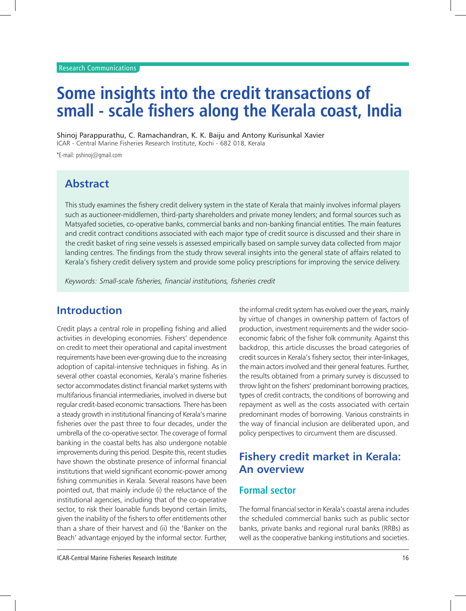# **Some insights into the credit transactions of small - scale fishers along the Kerala coast, India**

Shinoj Parappurathu, C. Ramachandran, K. K. Baiju and Antony Kurisunkal Xavier ICAR - Central Marine Fisheries Research Institute, Kochi - 682 018, Kerala

\*E-mail: pshinoj@gmail.com

## **Abstract**

This study examines the fishery credit delivery system in the state of Kerala that mainly involves informal players such as auctioneer-middlemen, third-party shareholders and private money lenders; and formal sources such as Matsyafed societies, co-operative banks, commercial banks and non-banking financial entities. The main features and credit contract conditions associated with each major type of credit source is discussed and their share in the credit basket of ring seine vessels is assessed empirically based on sample survey data collected from major landing centres. The findings from the study throw several insights into the general state of affairs related to Kerala's fishery credit delivery system and provide some policy prescriptions for improving the service delivery.

*Keywords: Small-scale fisheries, financial institutions, fisheries credit*

#### **Introduction**

Credit plays a central role in propelling fishing and allied activities in developing economies. Fishers' dependence on credit to meet their operational and capital investment requirements have been ever-growing due to the increasing adoption of capital-intensive techniques in fishing. As in several other coastal economies, Kerala's marine fisheries sector accommodates distinct financial market systems with multifarious financial intermediaries, involved in diverse but regular credit-based economic transactions. There has been a steady growth in institutional financing of Kerala's marine fisheries over the past three to four decades, under the umbrella of the co-operative sector. The coverage of formal banking in the coastal belts has also undergone notable improvements during this period. Despite this, recent studies have shown the obstinate presence of informal financial institutions that wield significant economic-power among fishing communities in Kerala. Several reasons have been pointed out, that mainly include (i) the reluctance of the institutional agencies, including that of the co-operative sector, to risk their loanable funds beyond certain limits, given the inability of the fishers to offer entitlements other than a share of their harvest and (ii) the 'Banker on the Beach' advantage enjoyed by the informal sector. Further,

the informal credit system has evolved over the years, mainly by virtue of changes in ownership pattern of factors of production, investment requirements and the wider socioeconomic fabric of the fisher folk community. Against this backdrop, this article discusses the broad categories of credit sources in Kerala's fishery sector, their inter-linkages, the main actors involved and their general features. Further, the results obtained from a primary survey is discussed to throw light on the fishers' predominant borrowing practices, types of credit contracts, the conditions of borrowing and repayment as well as the costs associated with certain predominant modes of borrowing. Various constraints in the way of financial inclusion are deliberated upon, and policy perspectives to circumvent them are discussed.

## **Fishery credit market in Kerala: An overview**

#### **Formal sector**

The formal financial sector in Kerala's coastal arena includes the scheduled commercial banks such as public sector banks, private banks and regional rural banks (RRBs) as well as the cooperative banking institutions and societies.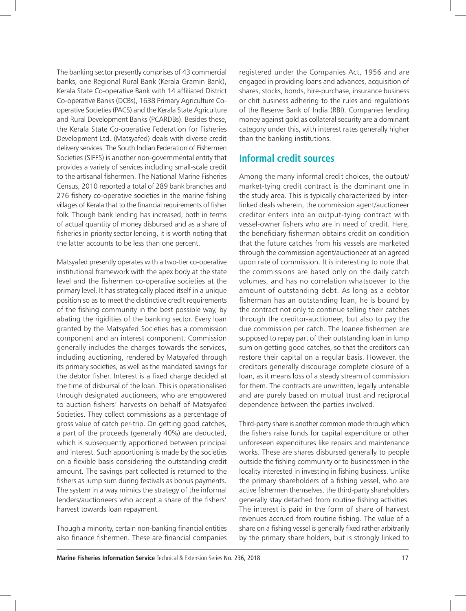The banking sector presently comprises of 43 commercial banks, one Regional Rural Bank (Kerala Gramin Bank), Kerala State Co-operative Bank with 14 affiliated District Co-operative Banks (DCBs), 1638 Primary Agriculture Cooperative Societies (PACS) and the Kerala State Agriculture and Rural Development Banks (PCARDBs). Besides these, the Kerala State Co-operative Federation for Fisheries Development Ltd. (Matsyafed) deals with diverse credit delivery services. The South Indian Federation of Fishermen Societies (SIFFS) is another non-governmental entity that provides a variety of services including small-scale credit to the artisanal fishermen. The National Marine Fisheries Census, 2010 reported a total of 289 bank branches and 276 fishery co-operative societies in the marine fishing villages of Kerala that to the financial requirements of fisher folk. Though bank lending has increased, both in terms of actual quantity of money disbursed and as a share of fisheries in priority sector lending, it is worth noting that the latter accounts to be less than one percent.

Matsyafed presently operates with a two-tier co-operative institutional framework with the apex body at the state level and the fishermen co-operative societies at the primary level. It has strategically placed itself in a unique position so as to meet the distinctive credit requirements of the fishing community in the best possible way, by abating the rigidities of the banking sector. Every loan granted by the Matsyafed Societies has a commission component and an interest component. Commission generally includes the charges towards the services, including auctioning, rendered by Matsyafed through its primary societies, as well as the mandated savings for the debtor fisher. Interest is a fixed charge decided at the time of disbursal of the loan. This is operationalised through designated auctioneers, who are empowered to auction fishers' harvests on behalf of Matsyafed Societies. They collect commissions as a percentage of gross value of catch per-trip. On getting good catches, a part of the proceeds (generally 40%) are deducted, which is subsequently apportioned between principal and interest. Such apportioning is made by the societies on a flexible basis considering the outstanding credit amount. The savings part collected is returned to the fishers as lump sum during festivals as bonus payments. The system in a way mimics the strategy of the informal lenders/auctioneers who accept a share of the fishers' harvest towards loan repayment.

Though a minority, certain non-banking financial entities also finance fishermen. These are financial companies registered under the Companies Act, 1956 and are engaged in providing loans and advances, acquisition of shares, stocks, bonds, hire-purchase, insurance business or chit business adhering to the rules and regulations of the Reserve Bank of India (RBI). Companies lending money against gold as collateral security are a dominant category under this, with interest rates generally higher than the banking institutions.

#### **Informal credit sources**

Among the many informal credit choices, the output/ market-tying credit contract is the dominant one in the study area. This is typically characterized by interlinked deals wherein, the commission agent/auctioneer creditor enters into an output-tying contract with vessel-owner fishers who are in need of credit. Here, the beneficiary fisherman obtains credit on condition that the future catches from his vessels are marketed through the commission agent/auctioneer at an agreed upon rate of commission. It is interesting to note that the commissions are based only on the daily catch volumes, and has no correlation whatsoever to the amount of outstanding debt. As long as a debtor fisherman has an outstanding loan, he is bound by the contract not only to continue selling their catches through the creditor-auctioneer, but also to pay the due commission per catch. The loanee fishermen are supposed to repay part of their outstanding loan in lump sum on getting good catches, so that the creditors can restore their capital on a regular basis. However, the creditors generally discourage complete closure of a loan, as it means loss of a steady stream of commission for them. The contracts are unwritten, legally untenable and are purely based on mutual trust and reciprocal dependence between the parties involved.

Third-party share is another common mode through which the fishers raise funds for capital expenditure or other unforeseen expenditures like repairs and maintenance works. These are shares disbursed generally to people outside the fishing community or to businessmen in the locality interested in investing in fishing business. Unlike the primary shareholders of a fishing vessel, who are active fishermen themselves, the third-party shareholders generally stay detached from routine fishing activities. The interest is paid in the form of share of harvest revenues accrued from routine fishing. The value of a share on a fishing vessel is generally fixed rather arbitrarily by the primary share holders, but is strongly linked to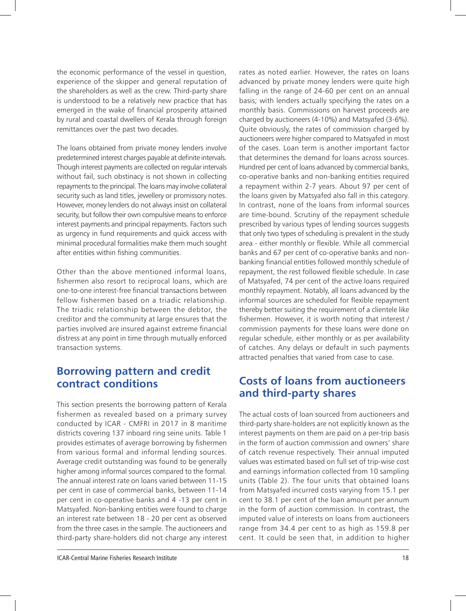the economic performance of the vessel in question, experience of the skipper and general reputation of the shareholders as well as the crew. Third-party share is understood to be a relatively new practice that has emerged in the wake of financial prosperity attained by rural and coastal dwellers of Kerala through foreign remittances over the past two decades.

The loans obtained from private money lenders involve predetermined interest charges payable at definite intervals. Though interest payments are collected on regular intervals without fail, such obstinacy is not shown in collecting repayments to the principal. The loans may involve collateral security such as land titles, jewellery or promissory notes. However, money lenders do not always insist on collateral security, but follow their own compulsive means to enforce interest payments and principal repayments. Factors such as urgency in fund requirements and quick access with minimal procedural formalities make them much sought after entities within fishing communities.

Other than the above mentioned informal loans, fishermen also resort to reciprocal loans, which are one-to-one interest-free financial transactions between fellow fishermen based on a triadic relationship. The triadic relationship between the debtor, the creditor and the community at large ensures that the parties involved are insured against extreme financial distress at any point in time through mutually enforced transaction systems.

#### **Borrowing pattern and credit contract conditions**

This section presents the borrowing pattern of Kerala fishermen as revealed based on a primary survey conducted by ICAR - CMFRI in 2017 in 8 maritime districts covering 137 inboard ring seine units. Table 1 provides estimates of average borrowing by fishermen from various formal and informal lending sources. Average credit outstanding was found to be generally higher among informal sources compared to the formal. The annual interest rate on loans varied between 11-15 per cent in case of commercial banks, between 11-14 per cent in co-operative banks and 4 -13 per cent in Matsyafed. Non-banking entities were found to charge an interest rate between 18 - 20 per cent as observed from the three cases in the sample. The auctioneers and third-party share-holders did not charge any interest rates as noted earlier. However, the rates on loans advanced by private money lenders were quite high falling in the range of 24-60 per cent on an annual basis; with lenders actually specifying the rates on a monthly basis. Commissions on harvest proceeds are charged by auctioneers (4-10%) and Matsyafed (3-6%). Quite obviously, the rates of commission charged by auctioneers were higher compared to Matsyafed in most of the cases. Loan term is another important factor that determines the demand for loans across sources. Hundred per cent of loans advanced by commercial banks, co-operative banks and non-banking entities required a repayment within 2-7 years. About 97 per cent of the loans given by Matsyafed also fall in this category. In contrast, none of the loans from informal sources are time-bound. Scrutiny of the repayment schedule prescribed by various types of lending sources suggests that only two types of scheduling is prevalent in the study area - either monthly or flexible. While all commercial banks and 67 per cent of co-operative banks and nonbanking financial entities followed monthly schedule of repayment, the rest followed flexible schedule. In case of Matsyafed, 74 per cent of the active loans required monthly repayment. Notably, all loans advanced by the informal sources are scheduled for flexible repayment thereby better suiting the requirement of a clientele like fishermen. However, it is worth noting that interest / commission payments for these loans were done on regular schedule, either monthly or as per availability of catches. Any delays or default in such payments attracted penalties that varied from case to case.

## **Costs of loans from auctioneers and third-party shares**

The actual costs of loan sourced from auctioneers and third-party share-holders are not explicitly known as the interest payments on them are paid on a per-trip basis in the form of auction commission and owners' share of catch revenue respectively. Their annual imputed values was estimated based on full set of trip-wise cost and earnings information collected from 10 sampling units (Table 2). The four units that obtained loans from Matsyafed incurred costs varying from 15.1 per cent to 38.1 per cent of the loan amount per annum in the form of auction commission. In contrast, the imputed value of interests on loans from auctioneers range from 34.4 per cent to as high as 159.8 per cent. It could be seen that, in addition to higher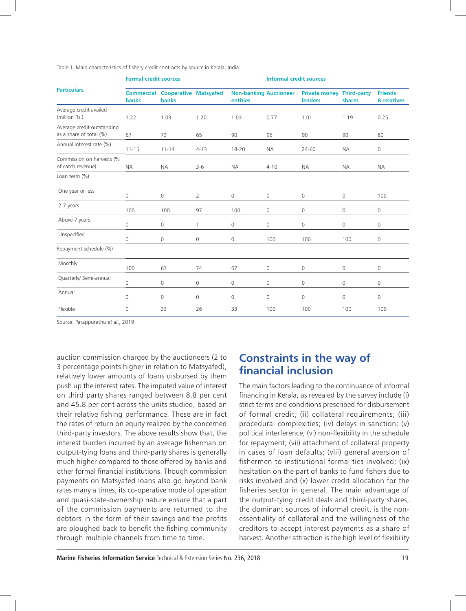|  |  |  |  |  | Table 1. Main characteristics of fishery credit contracts by source in Kerala, India |
|--|--|--|--|--|--------------------------------------------------------------------------------------|
|--|--|--|--|--|--------------------------------------------------------------------------------------|

|                                                       | <b>Formal credit sources</b> |                                                  |                |                                           | Informal credit sources |                                             |                     |                               |  |
|-------------------------------------------------------|------------------------------|--------------------------------------------------|----------------|-------------------------------------------|-------------------------|---------------------------------------------|---------------------|-------------------------------|--|
| <b>Particulars</b>                                    | <b>banks</b>                 | <b>Commercial Cooperative Matsyafed</b><br>banks |                | <b>Non-banking Auctioneer</b><br>entities |                         | Private money Third-party<br><b>lenders</b> | shares              | <b>Friends</b><br>& relatives |  |
| Average credit availed<br>(million Rs.)               | 1.22                         | 1.03                                             | 1.20           | 1.03                                      | 0.77                    | 1.01                                        | 1.19                | 0.25                          |  |
| Average credit outstanding<br>as a share of total (%) | 57                           | 73                                               | 65             | 90                                        | 96                      | 90                                          | 90                  | 80                            |  |
| Annual interest rate (%)                              | $11 - 15$                    | $11 - 14$                                        | $4 - 13$       | 18-20                                     | <b>NA</b>               | 24-60                                       | <b>NA</b>           | $\mathbf 0$                   |  |
| Commission on harvests (%<br>of catch revenue)        | <b>NA</b>                    | <b>NA</b>                                        | $3 - 6$        | <b>NA</b>                                 | $4 - 10$                | <b>NA</b>                                   | <b>NA</b>           | <b>NA</b>                     |  |
| Loan term (%)                                         |                              |                                                  |                |                                           |                         |                                             |                     |                               |  |
| One year or less                                      | $\mathbf{0}$                 | 0                                                | $\overline{2}$ | $\mathbf 0$                               | $\mathbf 0$             | $\boldsymbol{0}$                            | $\mathsf{O}\xspace$ | 100                           |  |
| 2-7 years                                             | 100                          | 100                                              | 97             | 100                                       | $\mathsf{O}\xspace$     | $\boldsymbol{0}$                            | 0                   | 0                             |  |
| Above 7 years                                         | $\mathbf{0}$                 | $\mathsf{O}\xspace$                              | 1              | 0                                         | $\mathbf{0}$            | 0                                           | $\mathbf 0$         | $\mathbf 0$                   |  |
| Unspecified                                           | $\mathbf 0$                  | 0                                                | 0              | $\mathbf 0$                               | 100                     | 100                                         | 100                 | 0                             |  |
| Repayment schedule (%)                                |                              |                                                  |                |                                           |                         |                                             |                     |                               |  |
| Monthly                                               | 100                          | 67                                               | 74             | 67                                        | $\mathbf 0$             | 0                                           | $\mathbf 0$         | $\mathbf 0$                   |  |
| Quarterly/ Semi-annual                                | 0                            | 0                                                | $\mathbf 0$    | $\mathbf 0$                               | 0                       | 0                                           | $\mathbf{0}$        | 0                             |  |
| Annual                                                | 0                            | 0                                                | 0              | $\mathbf 0$                               | $\mathbf 0$             | 0                                           | 0                   | 0                             |  |
| Flexible                                              | $\mathbf{0}$                 | 33                                               | 26             | 33                                        | 100                     | 100                                         | 100                 | 100                           |  |

Source: Parappurathu *et al*., 2019

auction commission charged by the auctioneers (2 to 3 percentage points higher in relation to Matsyafed), relatively lower amounts of loans disbursed by them push up the interest rates. The imputed value of interest on third party shares ranged between 8.8 per cent and 45.8 per cent across the units studied, based on their relative fishing performance. These are in fact the rates of return on equity realized by the concerned third-party investors. The above results show that, the interest burden incurred by an average fisherman on output-tying loans and third-party shares is generally much higher compared to those offered by banks and other formal financial institutions. Though commission payments on Matsyafed loans also go beyond bank rates many a times, its co-operative mode of operation and quasi-state-ownership nature ensure that a part of the commission payments are returned to the debtors in the form of their savings and the profits are ploughed back to benefit the fishing community through multiple channels from time to time.

#### **Constraints in the way of financial inclusion**

The main factors leading to the continuance of informal financing in Kerala, as revealed by the survey include (i) strict terms and conditions prescribed for disbursement of formal credit; (ii) collateral requirements; (iii) procedural complexities; (iv) delays in sanction; (v) political interference; (vi) non-flexibility in the schedule for repayment; (vii) attachment of collateral property in cases of loan defaults; (viii) general aversion of fishermen to institutional formalities involved; (ix) hesitation on the part of banks to fund fishers due to risks involved and (x) lower credit allocation for the fisheries sector in general. The main advantage of the output-tying credit deals and third-party shares, the dominant sources of informal credit, is the nonessentiality of collateral and the willingness of the creditors to accept interest payments as a share of harvest. Another attraction is the high level of flexibility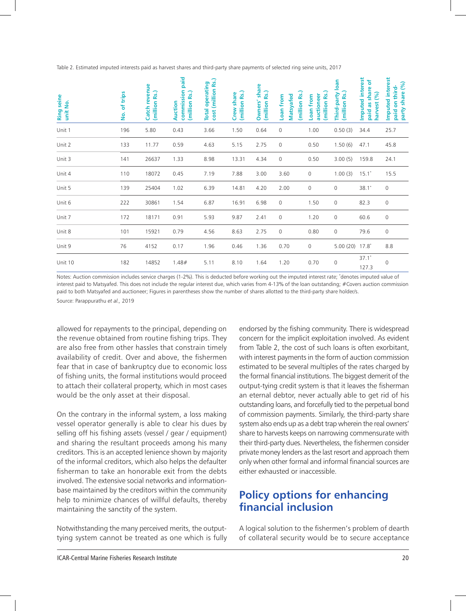|  |  | Table 2. Estimated imputed interests paid as harvest shares and third-party share payments of selected ring seine units. 2017 |  |  |  |
|--|--|-------------------------------------------------------------------------------------------------------------------------------|--|--|--|
|  |  |                                                                                                                               |  |  |  |
|  |  |                                                                                                                               |  |  |  |

| Ring seine<br>unit No. | of trips<br><u>g</u> | Catch revenue<br>(million Rs.) | paid<br>commission<br>(million Rs.)<br><b>Auction</b> | Total operating<br>cost (million Rs.) | (million Rs.)<br>Crew share | share<br>(million Rs.)<br>Owners' | (million Rs.)<br>Matsyafed<br>Loan from | (million Rs.)<br>auctioneer<br>Loan from | Third-party loan<br>(million Rs.) | Imputed interest<br>$\mathbf{\tilde{o}}$<br>paid as share<br>harvest (%) | Imputed interest<br>paid on third-<br>party share (%) |
|------------------------|----------------------|--------------------------------|-------------------------------------------------------|---------------------------------------|-----------------------------|-----------------------------------|-----------------------------------------|------------------------------------------|-----------------------------------|--------------------------------------------------------------------------|-------------------------------------------------------|
| Unit 1                 | 196                  | 5.80                           | 0.43                                                  | 3.66                                  | 1.50                        | 0.64                              | $\mathbf 0$                             | 1.00                                     | 0.50(3)                           | 34.4                                                                     | 25.7                                                  |
| Unit 2                 | 133                  | 11.77                          | 0.59                                                  | 4.63                                  | 5.15                        | 2.75                              | $\mathbf 0$                             | 0.50                                     | 1.50(6)                           | 47.1                                                                     | 45.8                                                  |
| Unit 3                 | 141                  | 26637                          | 1.33                                                  | 8.98                                  | 13.31                       | 4.34                              | $\mathbf 0$                             | 0.50                                     | 3.00(5)                           | 159.8                                                                    | 24.1                                                  |
| Unit 4                 | 110                  | 18072                          | 0.45                                                  | 7.19                                  | 7.88                        | 3.00                              | 3.60                                    | 0                                        | 1.00(3)                           | $15.1*$                                                                  | 15.5                                                  |
| Unit 5                 | 139                  | 25404                          | 1.02                                                  | 6.39                                  | 14.81                       | 4.20                              | 2.00                                    | 0                                        | $\mathbf 0$                       | $38.1*$                                                                  | $\mathbf 0$                                           |
| Unit 6                 | 222                  | 30861                          | 1.54                                                  | 6.87                                  | 16.91                       | 6.98                              | $\mathbf 0$                             | 1.50                                     | 0                                 | 82.3                                                                     | $\mathbf 0$                                           |
| Unit 7                 | 172                  | 18171                          | 0.91                                                  | 5.93                                  | 9.87                        | 2.41                              | $\mathbf{0}$                            | 1.20                                     | 0                                 | 60.6                                                                     | 0                                                     |
| Unit 8                 | 101                  | 15921                          | 0.79                                                  | 4.56                                  | 8.63                        | 2.75                              | $\mathbf 0$                             | 0.80                                     | 0                                 | 79.6                                                                     | $\mathbf 0$                                           |
| Unit 9                 | 76                   | 4152                           | 0.17                                                  | 1.96                                  | 0.46                        | 1.36                              | 0.70                                    | $\mathbf 0$                              | $5.00(20)$ 17.8*                  |                                                                          | 8.8                                                   |
| Unit 10                | 182                  | 14852                          | 1.48#                                                 | 5.11                                  | 8.10                        | 1.64                              | 1.20                                    | 0.70                                     | $\mathbf 0$                       | $37.1*$<br>127.3                                                         | $\mathbf 0$                                           |

Notes: Auction commission includes service charges (1-2%). This is deducted before working out the imputed interest rate; \* denotes imputed value of interest paid to Matsyafed. This does not include the regular interest due, which varies from 4-13% of the loan outstanding; #Covers auction commission paid to both Matsyafed and auctioneer; Figures in parentheses show the number of shares allotted to the third-party share holder/s.

Source: Parappurathu *et al.,* 2019

allowed for repayments to the principal, depending on the revenue obtained from routine fishing trips. They are also free from other hassles that constrain timely availability of credit. Over and above, the fishermen fear that in case of bankruptcy due to economic loss of fishing units, the formal institutions would proceed to attach their collateral property, which in most cases would be the only asset at their disposal.

On the contrary in the informal system, a loss making vessel operator generally is able to clear his dues by selling off his fishing assets (vessel / gear / equipment) and sharing the resultant proceeds among his many creditors. This is an accepted lenience shown by majority of the informal creditors, which also helps the defaulter fisherman to take an honorable exit from the debts involved. The extensive social networks and informationbase maintained by the creditors within the community help to minimize chances of willful defaults, thereby maintaining the sanctity of the system.

Notwithstanding the many perceived merits, the outputtying system cannot be treated as one which is fully

endorsed by the fishing community. There is widespread concern for the implicit exploitation involved. As evident from Table 2, the cost of such loans is often exorbitant, with interest payments in the form of auction commission estimated to be several multiples of the rates charged by the formal financial institutions. The biggest demerit of the output-tying credit system is that it leaves the fisherman an eternal debtor, never actually able to get rid of his outstanding loans, and forcefully tied to the perpetual bond of commission payments. Similarly, the third-party share system also ends up as a debt trap wherein the real owners' share to harvests keeps on narrowing commensurate with their third-party dues. Nevertheless, the fishermen consider private money lenders as the last resort and approach them only when other formal and informal financial sources are either exhausted or inaccessible.

## **Policy options for enhancing financial inclusion**

A logical solution to the fishermen's problem of dearth of collateral security would be to secure acceptance